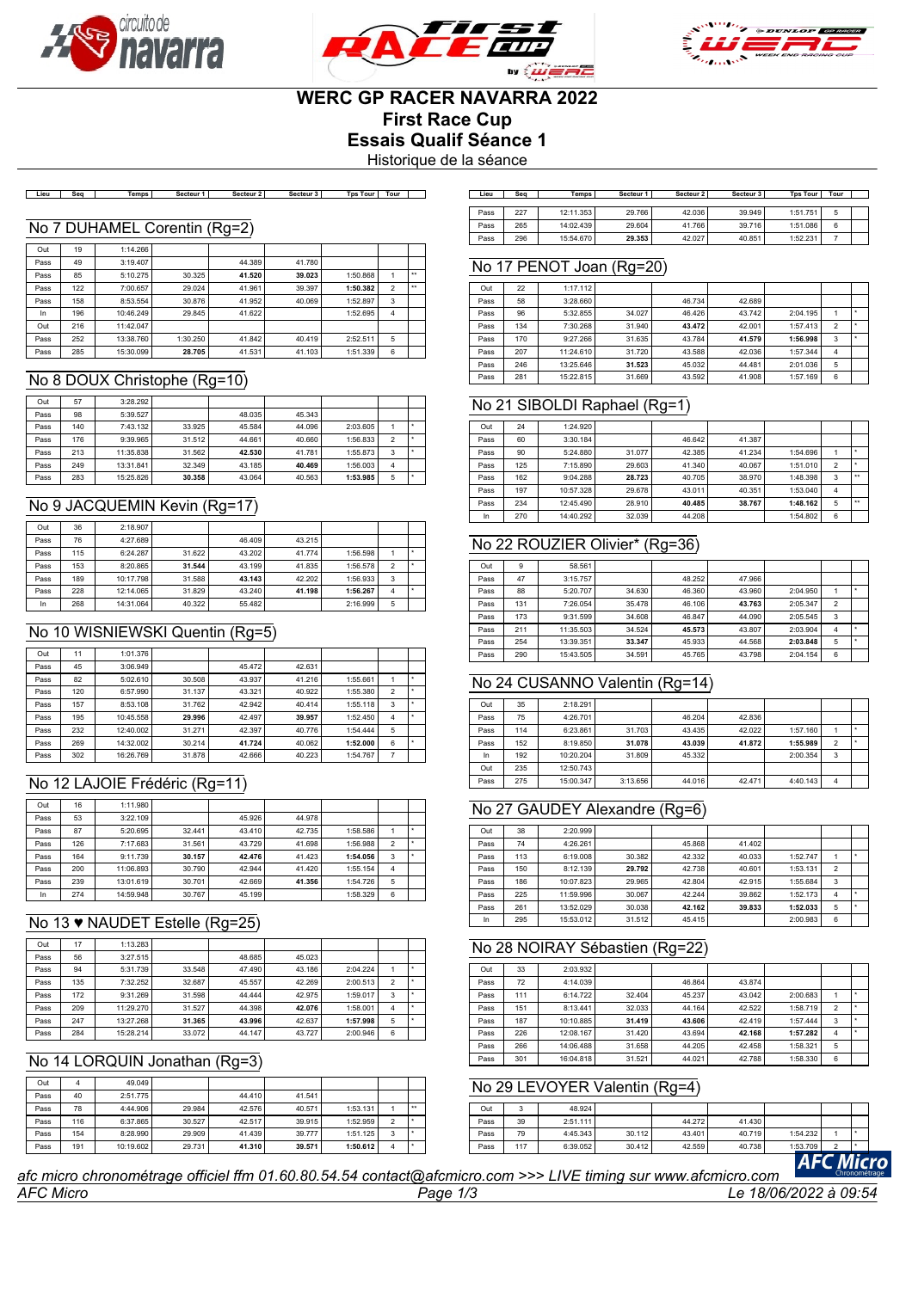





# **WERC GP RACER NAVARRA 2022**

**First Race Cup**

**Essais Qualif Séance 1**

Historique de la séance

| Secteur 2<br>Tps Tour<br>Secteur 3<br>Tour<br>Secteur 1<br>Temps<br>.ieu<br>Seo | Lieu | Sec | Temps     | Secteur 1 | Secteur 2 | Secteur 3 | Tps Tour | Tour |  |
|---------------------------------------------------------------------------------|------|-----|-----------|-----------|-----------|-----------|----------|------|--|
|                                                                                 |      |     |           |           |           |           |          |      |  |
|                                                                                 | Pass | 227 | 12:11.353 | 29.766    | 42.036    | 39.949    | 1:51.751 |      |  |
| HAMEL<br>$(Ra=2)$<br>;orentin<br>$\sim$<br>ັ                                    | Pass | 265 | 14:02.439 | 29.604    | 41.766    | 39.716    | 1:51.086 |      |  |
|                                                                                 | Pass | 296 | 15:54.670 | 29.353    | 42.027    | 40.851    | 1:52.231 |      |  |

#### No 7 DUHAMEL Corentin (Rg=2)

| Out  | 19  | 1:14.266  |          |        |        |          |                |              |
|------|-----|-----------|----------|--------|--------|----------|----------------|--------------|
| Pass | 49  | 3:19.407  |          | 44.389 | 41.780 |          |                |              |
| Pass | 85  | 5:10.275  | 30.325   | 41.520 | 39.023 | 1:50.868 |                | $\star\star$ |
| Pass | 122 | 7:00.657  | 29.024   | 41.961 | 39.397 | 1:50.382 | $\overline{2}$ | $\star\star$ |
| Pass | 158 | 8:53.554  | 30.876   | 41.952 | 40.069 | 1:52.897 | 3              |              |
| In   | 196 | 10:46.249 | 29.845   | 41.622 |        | 1:52.695 | 4              |              |
| Out  | 216 | 11:42.047 |          |        |        |          |                |              |
| Pass | 252 | 13:38.760 | 1:30.250 | 41.842 | 40.419 | 2:52.511 | 5              |              |
| Pass | 285 | 15:30.099 | 28.705   | 41.531 | 41.103 | 1:51.339 | 6              |              |

#### No 8 DOUX Christophe (Rg=10)

| Out  | 57  | 3:28.292  |        |        |        |          |                |  |
|------|-----|-----------|--------|--------|--------|----------|----------------|--|
| Pass | 98  | 5:39.527  |        | 48.035 | 45.343 |          |                |  |
| Pass | 140 | 7:43.132  | 33.925 | 45.584 | 44.096 | 2:03.605 |                |  |
| Pass | 176 | 9:39.965  | 31.512 | 44.661 | 40.660 | 1:56.833 | $\overline{2}$ |  |
| Pass | 213 | 11:35.838 | 31.562 | 42.530 | 41.781 | 1:55.873 | 3              |  |
| Pass | 249 | 13:31.841 | 32.349 | 43.185 | 40.469 | 1:56.003 | 4              |  |
| Pass | 283 | 15:25.826 | 30.358 | 43.064 | 40.563 | 1:53.985 | 5              |  |

## No 9 JACQUEMIN Kevin (Rg=17)

| Out  | 36  | 2:18.907  |        |        |        |          |                          |  |
|------|-----|-----------|--------|--------|--------|----------|--------------------------|--|
| Pass | 76  | 4:27.689  |        | 46.409 | 43.215 |          |                          |  |
| Pass | 115 | 6:24.287  | 31.622 | 43.202 | 41.774 | 1:56.598 |                          |  |
| Pass | 153 | 8:20.865  | 31.544 | 43.199 | 41.835 | 1:56.578 | $\overline{\phantom{a}}$ |  |
| Pass | 189 | 10:17.798 | 31.588 | 43.143 | 42.202 | 1:56.933 | 3                        |  |
| Pass | 228 | 12:14.065 | 31.829 | 43.240 | 41.198 | 1:56.267 | 4                        |  |
| In   | 268 | 14:31.064 | 40.322 | 55.482 |        | 2:16.999 | 5                        |  |

### No 10 WISNIEWSKI Quentin (Rg=5)

| Out  | 11  | 1:01.376  |        |        |        |          |                          |  |
|------|-----|-----------|--------|--------|--------|----------|--------------------------|--|
| Pass | 45  | 3:06.949  |        | 45.472 | 42.631 |          |                          |  |
| Pass | 82  | 5:02.610  | 30.508 | 43.937 | 41.216 | 1:55.661 |                          |  |
| Pass | 120 | 6:57.990  | 31.137 | 43.321 | 40.922 | 1:55.380 | $\overline{\phantom{a}}$ |  |
| Pass | 157 | 8:53.108  | 31.762 | 42.942 | 40.414 | 1:55.118 | 3                        |  |
| Pass | 195 | 10:45.558 | 29.996 | 42.497 | 39.957 | 1:52.450 | 4                        |  |
| Pass | 232 | 12:40.002 | 31.271 | 42.397 | 40.776 | 1:54.444 | 5                        |  |
| Pass | 269 | 14:32.002 | 30.214 | 41.724 | 40.062 | 1:52.000 | 6                        |  |
| Pass | 302 | 16:26.769 | 31,878 | 42.666 | 40.223 | 1:54.767 |                          |  |

## No 12 LAJOIE Frédéric (Rg=11)

| Out  | 16  | 1:11.980  |        |        |        |          |                          |  |
|------|-----|-----------|--------|--------|--------|----------|--------------------------|--|
| Pass | 53  | 3:22.109  |        | 45.926 | 44.978 |          |                          |  |
| Pass | 87  | 5:20.695  | 32.441 | 43.410 | 42.735 | 1:58.586 |                          |  |
| Pass | 126 | 7:17.683  | 31.561 | 43.729 | 41.698 | 1:56.988 | $\overline{\phantom{a}}$ |  |
| Pass | 164 | 9:11.739  | 30.157 | 42.476 | 41.423 | 1:54.056 | 3                        |  |
| Pass | 200 | 11:06.893 | 30.790 | 42.944 | 41.420 | 1:55.154 | 4                        |  |
| Pass | 239 | 13:01.619 | 30.701 | 42.669 | 41.356 | 1:54.726 | 5                        |  |
| In   | 274 | 14:59.948 | 30.767 | 45.199 |        | 1:58.329 | 6                        |  |

## No 13 ♥ NAUDET Estelle (Rg=25)

| Out  | 17  | 1:13.283  |        |        |        |          |                |   |
|------|-----|-----------|--------|--------|--------|----------|----------------|---|
| Pass | 56  | 3:27.515  |        | 48.685 | 45.023 |          |                |   |
| Pass | 94  | 5:31.739  | 33.548 | 47.490 | 43.186 | 2:04.224 |                | ٠ |
| Pass | 135 | 7:32.252  | 32.687 | 45.557 | 42.269 | 2:00.513 | $\overline{2}$ |   |
| Pass | 172 | 9:31.269  | 31.598 | 44.444 | 42.975 | 1:59.017 | 3              |   |
| Pass | 209 | 11:29.270 | 31.527 | 44.398 | 42.076 | 1:58.001 | 4              |   |
| Pass | 247 | 13:27.268 | 31.365 | 43.996 | 42.637 | 1:57.998 | 5              |   |
| Pass | 284 | 15:28.214 | 33.072 | 44.147 | 43.727 | 2:00.946 | 6              |   |

#### No 14 LORQUIN Jonathan (Rg=3)

| Out  |     | 49.049    |        |        |        |          |   |     |
|------|-----|-----------|--------|--------|--------|----------|---|-----|
| Pass | 40  | 2:51.775  |        | 44.410 | 41.541 |          |   |     |
| Pass | 78  | 4:44.906  | 29.984 | 42.576 | 40.571 | 1:53.131 |   | $+$ |
| Pass | 116 | 6:37.865  | 30.527 | 42.517 | 39.915 | 1:52.959 | 2 |     |
| Pass | 154 | 8:28.990  | 29.909 | 41.439 | 39,777 | 1:51.125 | 3 |     |
| Pass | 191 | 10:19.602 | 29.731 | 41.310 | 39.571 | 1:50.612 | 4 |     |

## No 17 PENOT Joan (Rg=20)

| Out  | 22  | 1:17.112  |        |        |        |          |                |  |
|------|-----|-----------|--------|--------|--------|----------|----------------|--|
| Pass | 58  | 3:28.660  |        | 46.734 | 42.689 |          |                |  |
| Pass | 96  | 5:32.855  | 34.027 | 46.426 | 43.742 | 2:04.195 |                |  |
| Pass | 134 | 7:30.268  | 31.940 | 43.472 | 42.001 | 1:57.413 | $\overline{2}$ |  |
| Pass | 170 | 9:27.266  | 31.635 | 43.784 | 41.579 | 1:56.998 | 3              |  |
| Pass | 207 | 11:24.610 | 31.720 | 43.588 | 42.036 | 1:57.344 | 4              |  |
| Pass | 246 | 13:25.646 | 31.523 | 45.032 | 44.481 | 2:01.036 | 5              |  |
| Pass | 281 | 15:22.815 | 31.669 | 43.592 | 41.908 | 1:57.169 | 6              |  |

## No 21 SIBOLDI Raphael (Rg=1)

| Out  | 24  | 1:24.920  |        |        |        |          |                |              |
|------|-----|-----------|--------|--------|--------|----------|----------------|--------------|
| Pass | 60  | 3:30.184  |        | 46.642 | 41.387 |          |                |              |
| Pass | 90  | 5:24.880  | 31.077 | 42.385 | 41.234 | 1:54.696 |                |              |
| Pass | 125 | 7:15.890  | 29.603 | 41.340 | 40.067 | 1:51.010 | $\overline{2}$ |              |
| Pass | 162 | 9:04.288  | 28.723 | 40.705 | 38,970 | 1:48.398 | 3              | $\star\star$ |
| Pass | 197 | 10:57.328 | 29.678 | 43.011 | 40.351 | 1:53.040 | 4              |              |
| Pass | 234 | 12:45.490 | 28.910 | 40.485 | 38.767 | 1:48.162 | 5              | $**$         |
| In   | 270 | 14:40.292 | 32.039 | 44.208 |        | 1:54.802 | 6              |              |

## No 22 ROUZIER Olivier\* (Rg=36)

| Out  | 9   | 58.561    |        |        |        |          |                |  |
|------|-----|-----------|--------|--------|--------|----------|----------------|--|
| Pass | 47  | 3:15.757  |        | 48.252 | 47.966 |          |                |  |
| Pass | 88  | 5:20.707  | 34.630 | 46.360 | 43.960 | 2:04.950 |                |  |
| Pass | 131 | 7:26.054  | 35.478 | 46.106 | 43.763 | 2:05.347 | $\overline{2}$ |  |
| Pass | 173 | 9:31.599  | 34.608 | 46.847 | 44.090 | 2:05.545 | 3              |  |
| Pass | 211 | 11:35.503 | 34.524 | 45.573 | 43.807 | 2:03.904 | 4              |  |
| Pass | 254 | 13:39.351 | 33.347 | 45.933 | 44.568 | 2:03.848 | 5              |  |
| Pass | 290 | 15:43.505 | 34.591 | 45.765 | 43.798 | 2:04.154 | 6              |  |

## No 24 CUSANNO Valentin (Rg=14)

| Out  | 35  | 2:18.291  |          |        |        |          |                |   |
|------|-----|-----------|----------|--------|--------|----------|----------------|---|
| Pass | 75  | 4:26.701  |          | 46.204 | 42.836 |          |                |   |
| Pass | 114 | 6:23.861  | 31.703   | 43.435 | 42.022 | 1:57.160 |                |   |
| Pass | 152 | 8:19.850  | 31.078   | 43.039 | 41.872 | 1:55.989 | $\overline{2}$ | ٠ |
| In   | 192 | 10:20.204 | 31,809   | 45.332 |        | 2:00.354 | 3              |   |
| Out  | 235 | 12:50.743 |          |        |        |          |                |   |
| Pass | 275 | 15:00.347 | 3:13.656 | 44.016 | 42.471 | 4:40.143 | 4              |   |

## No 27 GAUDEY Alexandre (Rg=6)

| Out  | 38  | 2:20.999  |        |        |        |          |                |  |
|------|-----|-----------|--------|--------|--------|----------|----------------|--|
| Pass | 74  | 4:26.261  |        | 45.868 | 41.402 |          |                |  |
| Pass | 113 | 6:19.008  | 30.382 | 42.332 | 40.033 | 1:52.747 |                |  |
| Pass | 150 | 8:12.139  | 29.792 | 42.738 | 40.601 | 1:53.131 | $\overline{2}$ |  |
| Pass | 186 | 10:07.823 | 29.965 | 42.804 | 42.915 | 1:55.684 | 3              |  |
| Pass | 225 | 11:59.996 | 30.067 | 42.244 | 39.862 | 1:52.173 | 4              |  |
| Pass | 261 | 13:52.029 | 30.038 | 42.162 | 39.833 | 1:52.033 | 5              |  |
| In   | 295 | 15:53.012 | 31.512 | 45.415 |        | 2:00.983 | 6              |  |

## No 28 NOIRAY Sébastien (Rg=22)

| Out  | 33  | 2:03.932  |        |        |        |          |                |   |
|------|-----|-----------|--------|--------|--------|----------|----------------|---|
| Pass | 72  | 4:14.039  |        | 46.864 | 43.874 |          |                |   |
| Pass | 111 | 6:14.722  | 32.404 | 45.237 | 43.042 | 2:00.683 |                |   |
| Pass | 151 | 8:13.441  | 32.033 | 44.164 | 42.522 | 1:58.719 | $\overline{2}$ |   |
| Pass | 187 | 10:10.885 | 31.419 | 43.606 | 42.419 | 1:57.444 | 3              |   |
| Pass | 226 | 12:08.167 | 31.420 | 43.694 | 42.168 | 1:57.282 | 4              | ٠ |
| Pass | 266 | 14:06.488 | 31.658 | 44.205 | 42.458 | 1:58.321 | 5              |   |
| Pass | 301 | 16:04.818 | 31.521 | 44.021 | 42.788 | 1:58.330 | 6              |   |

## No 29 LEVOYER Valentin (Rg=4)

| --- ---- --- |     |          | I BIF theology arraigned afamily again |        |        |          |   | Chronométrage |  |
|--------------|-----|----------|----------------------------------------|--------|--------|----------|---|---------------|--|
| Pass         | 117 | 6:39.052 | 30.412                                 | 42.559 | 40.738 | 1:53.709 | ີ |               |  |
| Pass         | 79  | 4:45.343 | 30.112                                 | 43.401 | 40.719 | 1:54.232 |   |               |  |
| Pass         | 39  | 2:51.111 |                                        | 44.272 | 41.430 |          |   |               |  |
| Out          |     | 48.924   |                                        |        |        |          |   |               |  |

*AFC Micro Page 1/3 Le 18/06/2022 à 09:54 afc micro chronométrage officiel ffm 01.60.80.54.54 contact@afcmicro.com >>> LIVE timing sur www.afcmicro.com*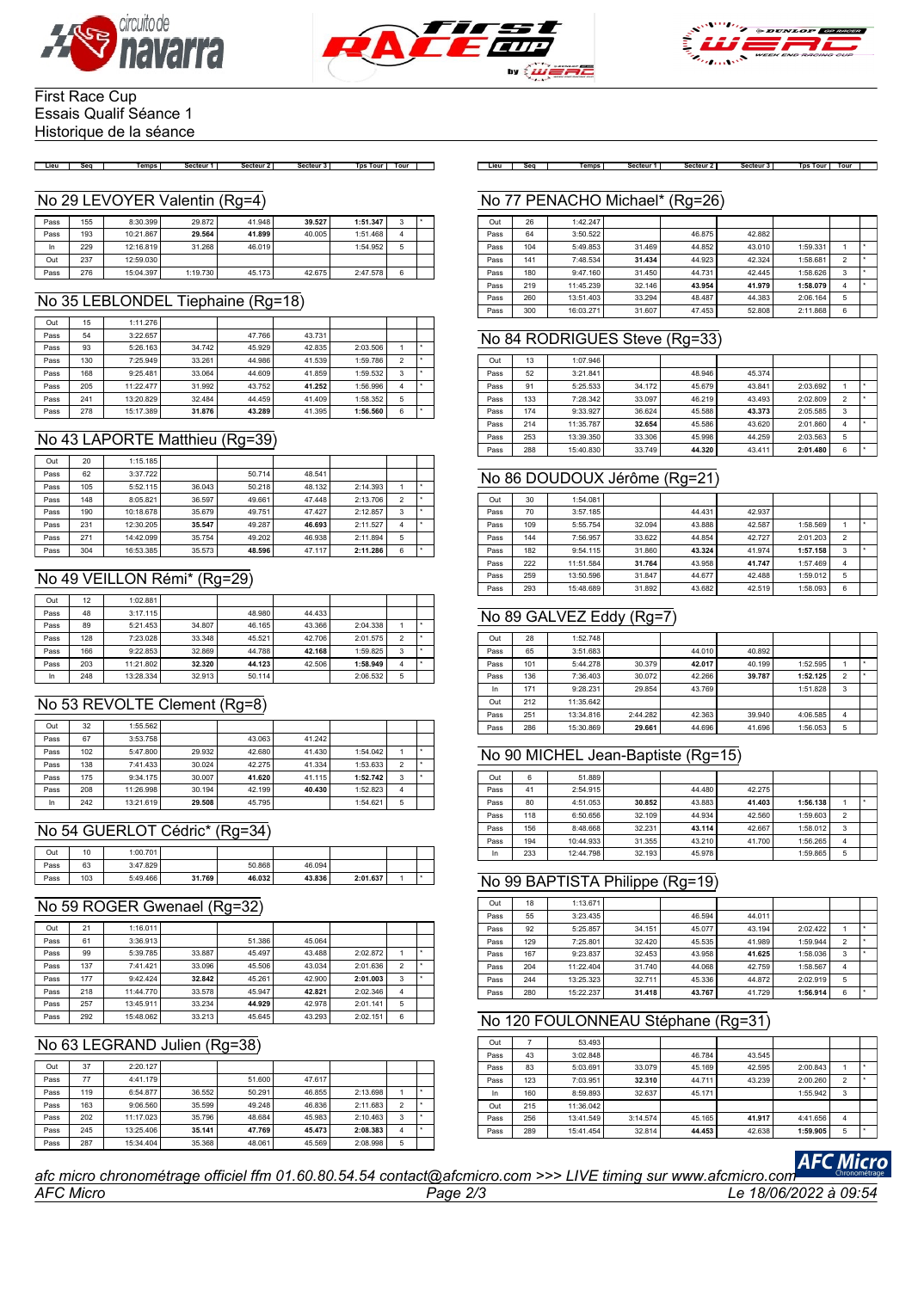





#### First Race Cup Essais Qualif Séance 1 Historique de la séance

#### No 29 LEVOYER Valentin (Rg=4)

| Pass | 155 | 8:30.399  | 29.872   | 41.948 | 39.527 | 1:51.347 | 3 |  |
|------|-----|-----------|----------|--------|--------|----------|---|--|
| Pass | 193 | 10:21.867 | 29.564   | 41.899 | 40.005 | 1:51.468 | Δ |  |
| In   | 229 | 12:16.819 | 31.268   | 46.019 |        | 1:54.952 | 5 |  |
| Out  | 237 | 12:59.030 |          |        |        |          |   |  |
| Pass | 276 | 15:04.397 | 1:19.730 | 45.173 | 42.675 | 2:47.578 | 6 |  |

#### No 35 LEBLONDEL Tiephaine (Rg=18)

| Out  | 15  | 1:11.276  |        |        |        |          |                |  |
|------|-----|-----------|--------|--------|--------|----------|----------------|--|
| Pass | 54  | 3:22.657  |        | 47.766 | 43.731 |          |                |  |
| Pass | 93  | 5:26.163  | 34.742 | 45.929 | 42.835 | 2:03.506 |                |  |
| Pass | 130 | 7:25.949  | 33.261 | 44.986 | 41.539 | 1:59.786 | $\mathfrak{p}$ |  |
| Pass | 168 | 9:25.481  | 33.064 | 44.609 | 41.859 | 1:59.532 | 3              |  |
| Pass | 205 | 11:22.477 | 31.992 | 43.752 | 41.252 | 1:56.996 | 4              |  |
| Pass | 241 | 13:20.829 | 32.484 | 44.459 | 41.409 | 1:58.352 | 5              |  |
| Pass | 278 | 15:17.389 | 31.876 | 43.289 | 41.395 | 1:56.560 | 6              |  |

## No 43 LAPORTE Matthieu (Rg=39)

| Out  | 20  | 1:15.185  |        |        |        |          |                |  |
|------|-----|-----------|--------|--------|--------|----------|----------------|--|
| Pass | 62  | 3:37.722  |        | 50.714 | 48.541 |          |                |  |
| Pass | 105 | 5:52.115  | 36.043 | 50.218 | 48.132 | 2:14.393 |                |  |
| Pass | 148 | 8:05.821  | 36.597 | 49.661 | 47.448 | 2:13.706 | $\overline{2}$ |  |
| Pass | 190 | 10:18.678 | 35.679 | 49.751 | 47.427 | 2:12.857 | 3              |  |
| Pass | 231 | 12:30.205 | 35.547 | 49.287 | 46.693 | 2:11.527 | 4              |  |
| Pass | 271 | 14:42.099 | 35.754 | 49.202 | 46.938 | 2:11.894 | 5              |  |
| Pass | 304 | 16:53.385 | 35.573 | 48.596 | 47.117 | 2:11.286 | 6              |  |

#### No 49 VEILLON Rémi\* (Rg=29)

| Out  | 12  | 1:02.881  |        |        |        |          |                |  |
|------|-----|-----------|--------|--------|--------|----------|----------------|--|
| Pass | 48  | 3:17.115  |        | 48,980 | 44.433 |          |                |  |
| Pass | 89  | 5:21.453  | 34.807 | 46.165 | 43.366 | 2:04.338 |                |  |
| Pass | 128 | 7:23.028  | 33,348 | 45.521 | 42.706 | 2:01.575 | $\overline{2}$ |  |
| Pass | 166 | 9:22.853  | 32.869 | 44.788 | 42.168 | 1:59.825 | 3              |  |
| Pass | 203 | 11:21.802 | 32.320 | 44.123 | 42.506 | 1:58.949 | 4              |  |
| In   | 248 | 13:28.334 | 32.913 | 50.114 |        | 2:06.532 | 5              |  |

## No 53 REVOLTE Clement (Rg=8)

| Out  | 32  | 1:55.562  |        |        |        |          |   |  |
|------|-----|-----------|--------|--------|--------|----------|---|--|
| Pass | 67  | 3:53.758  |        | 43.063 | 41.242 |          |   |  |
| Pass | 102 | 5:47.800  | 29.932 | 42.680 | 41.430 | 1:54.042 |   |  |
| Pass | 138 | 7:41.433  | 30.024 | 42.275 | 41.334 | 1:53.633 | 2 |  |
| Pass | 175 | 9:34.175  | 30.007 | 41.620 | 41.115 | 1:52.742 | 3 |  |
| Pass | 208 | 11:26.998 | 30.194 | 42.199 | 40.430 | 1:52.823 | 4 |  |
| In   | 242 | 13:21.619 | 29.508 | 45.795 |        | 1:54.621 | 5 |  |

#### No 54 GUERLOT Cédric\* (Rg=34)

| Out  | 10  | 1:00.701 |        |        |        |          |  |
|------|-----|----------|--------|--------|--------|----------|--|
| Pass | 63  | 3:47.829 |        | 50,868 | 46.094 |          |  |
| Pass | 103 | 5:49.466 | 31.769 | 46.032 | 43.836 | 2:01.637 |  |

#### No 59 ROGER Gwenael (Rg=32)

| Out  | 21  | 1:16.011  |        |        |        |          |                |  |
|------|-----|-----------|--------|--------|--------|----------|----------------|--|
| Pass | 61  | 3:36.913  |        | 51.386 | 45.064 |          |                |  |
| Pass | 99  | 5:39.785  | 33.887 | 45.497 | 43.488 | 2:02.872 |                |  |
| Pass | 137 | 7:41.421  | 33.096 | 45.506 | 43.034 | 2:01.636 | $\mathfrak{p}$ |  |
| Pass | 177 | 9:42.424  | 32.842 | 45.261 | 42.900 | 2:01.003 | 3              |  |
| Pass | 218 | 11:44.770 | 33.578 | 45.947 | 42.821 | 2:02.346 | 4              |  |
| Pass | 257 | 13:45.911 | 33.234 | 44.929 | 42.978 | 2:01.141 | 5              |  |
| Pass | 292 | 15:48.062 | 33.213 | 45.645 | 43.293 | 2:02.151 | 6              |  |

#### No 63 LEGRAND Julien (Rg=38)

| Out  | 37  | 2:20.127  |        |        |        |          |                |   |
|------|-----|-----------|--------|--------|--------|----------|----------------|---|
| Pass | 77  | 4:41.179  |        | 51,600 | 47.617 |          |                |   |
| Pass | 119 | 6:54.877  | 36.552 | 50.291 | 46.855 | 2:13.698 |                |   |
| Pass | 163 | 9:06.560  | 35.599 | 49.248 | 46.836 | 2:11.683 | $\overline{2}$ |   |
| Pass | 202 | 11:17.023 | 35.796 | 48.684 | 45.983 | 2:10.463 | 3              | ۰ |
| Pass | 245 | 13:25.406 | 35.141 | 47.769 | 45.473 | 2:08.383 | 4              |   |
| Pass | 287 | 15:34.404 | 35.368 | 48.061 | 45.569 | 2:08.998 | 5              |   |

[Lieu | Seq | Temps| Secteur1| Secteur2| Secteur3| TpsTour|Tour | | Lieu | Seq | Temps| Secteur1| Secteur2| Secteur3| TpsTour|Tour |

#### No 77 PENACHO Michael\* (Rg=26)

| Out  | 26  | 1:42.247  |        |        |        |          |                |  |
|------|-----|-----------|--------|--------|--------|----------|----------------|--|
| Pass | 64  | 3:50.522  |        | 46.875 | 42.882 |          |                |  |
| Pass | 104 | 5:49.853  | 31.469 | 44.852 | 43.010 | 1:59.331 |                |  |
| Pass | 141 | 7:48.534  | 31.434 | 44.923 | 42.324 | 1:58.681 | $\mathfrak{p}$ |  |
| Pass | 180 | 9:47.160  | 31.450 | 44.731 | 42.445 | 1:58.626 | 3              |  |
| Pass | 219 | 11:45.239 | 32.146 | 43.954 | 41.979 | 1:58.079 | 4              |  |
| Pass | 260 | 13:51.403 | 33.294 | 48.487 | 44.383 | 2:06.164 | 5              |  |
| Pass | 300 | 16:03.271 | 31.607 | 47.453 | 52.808 | 2:11.868 | 6              |  |

#### No 84 RODRIGUES Steve (Rg=33)

| Out  | 13  | 1:07.946  |        |        |        |          |   |  |
|------|-----|-----------|--------|--------|--------|----------|---|--|
| Pass | 52  | 3:21.841  |        | 48.946 | 45.374 |          |   |  |
| Pass | 91  | 5:25.533  | 34.172 | 45.679 | 43.841 | 2:03.692 |   |  |
| Pass | 133 | 7:28.342  | 33.097 | 46.219 | 43.493 | 2:02.809 | 2 |  |
| Pass | 174 | 9:33.927  | 36.624 | 45.588 | 43.373 | 2:05.585 | 3 |  |
| Pass | 214 | 11:35.787 | 32.654 | 45.586 | 43.620 | 2:01.860 | 4 |  |
| Pass | 253 | 13:39.350 | 33.306 | 45.998 | 44.259 | 2:03.563 | 5 |  |
| Pass | 288 | 15:40.830 | 33.749 | 44.320 | 43.411 | 2:01.480 | 6 |  |

#### No 86 DOUDOUX Jérôme (Rg=21)

| Out  | 30  | 1:54.081  |        |        |        |          |                |  |
|------|-----|-----------|--------|--------|--------|----------|----------------|--|
| Pass | 70  | 3:57.185  |        | 44.431 | 42.937 |          |                |  |
| Pass | 109 | 5:55.754  | 32.094 | 43.888 | 42.587 | 1:58.569 |                |  |
| Pass | 144 | 7:56.957  | 33.622 | 44.854 | 42.727 | 2:01.203 | $\overline{2}$ |  |
| Pass | 182 | 9:54.115  | 31.860 | 43.324 | 41.974 | 1:57.158 | 3              |  |
| Pass | 222 | 11:51.584 | 31.764 | 43.958 | 41.747 | 1:57.469 | 4              |  |
| Pass | 259 | 13:50.596 | 31.847 | 44.677 | 42.488 | 1:59.012 | 5              |  |
| Pass | 293 | 15:48.689 | 31.892 | 43.682 | 42.519 | 1:58.093 | 6              |  |

## No 89 GALVEZ Eddy (Rg=7)

| Out  | 28  | 1:52.748  |          |        |        |          |                |   |
|------|-----|-----------|----------|--------|--------|----------|----------------|---|
| Pass | 65  | 3:51.683  |          | 44.010 | 40.892 |          |                |   |
| Pass | 101 | 5:44.278  | 30,379   | 42.017 | 40.199 | 1:52.595 |                | ٠ |
| Pass | 136 | 7:36.403  | 30.072   | 42.266 | 39.787 | 1:52.125 | $\overline{2}$ | ٠ |
| In   | 171 | 9:28.231  | 29.854   | 43.769 |        | 1:51.828 | 3              |   |
| Out  | 212 | 11:35.642 |          |        |        |          |                |   |
| Pass | 251 | 13:34.816 | 2:44.282 | 42.363 | 39.940 | 4:06.585 | $\overline{4}$ |   |
| Pass | 286 | 15:30.869 | 29.661   | 44.696 | 41.696 | 1:56.053 | 5              |   |

#### No 90 MICHEL Jean-Baptiste (Rg=15)

| Out  | 6   | 51.889    |        |        |        |          |                |   |
|------|-----|-----------|--------|--------|--------|----------|----------------|---|
| Pass | 41  | 2:54.915  |        | 44.480 | 42.275 |          |                |   |
| Pass | 80  | 4:51.053  | 30.852 | 43.883 | 41.403 | 1:56.138 |                | ٠ |
| Pass | 118 | 6:50.656  | 32.109 | 44.934 | 42.560 | 1:59.603 | $\mathfrak{p}$ |   |
| Pass | 156 | 8:48.668  | 32.231 | 43.114 | 42.667 | 1:58.012 | 3              |   |
| Pass | 194 | 10:44.933 | 31.355 | 43.210 | 41.700 | 1:56.265 | 4              |   |
| In   | 233 | 12:44.798 | 32.193 | 45.978 |        | 1:59.865 | 5              |   |

#### No 99 BAPTISTA Philippe (Rg=19)

| Out  | 18  | 1:13.671  |        |        |        |          |                |   |
|------|-----|-----------|--------|--------|--------|----------|----------------|---|
| Pass | 55  | 3:23.435  |        | 46.594 | 44.011 |          |                |   |
| Pass | 92  | 5:25.857  | 34.151 | 45.077 | 43.194 | 2:02.422 |                |   |
| Pass | 129 | 7:25.801  | 32.420 | 45.535 | 41.989 | 1:59.944 | $\overline{2}$ | ٠ |
| Pass | 167 | 9:23.837  | 32.453 | 43.958 | 41.625 | 1:58.036 | 3              | ٠ |
| Pass | 204 | 11:22.404 | 31.740 | 44.068 | 42.759 | 1:58.567 | 4              |   |
| Pass | 244 | 13:25.323 | 32.711 | 45.336 | 44.872 | 2:02.919 | 5              |   |
| Pass | 280 | 15:22.237 | 31.418 | 43.767 | 41.729 | 1:56.914 | 6              | ٠ |

## No 120 FOULONNEAU Stéphane (Rg=31)

| Out  |     | 53.493    |          |        |        |          |                |   |
|------|-----|-----------|----------|--------|--------|----------|----------------|---|
| Pass | 43  | 3:02.848  |          | 46.784 | 43.545 |          |                |   |
| Pass | 83  | 5:03.691  | 33.079   | 45.169 | 42.595 | 2:00.843 |                | ٠ |
| Pass | 123 | 7:03.951  | 32.310   | 44.711 | 43.239 | 2:00.260 | $\overline{2}$ | ٠ |
| In   | 160 | 8:59.893  | 32.637   | 45.171 |        | 1:55.942 | 3              |   |
| Out  | 215 | 11:36.042 |          |        |        |          |                |   |
| Pass | 256 | 13:41.549 | 3:14.574 | 45.165 | 41.917 | 4:41.656 | 4              |   |
| Pass | 289 | 15:41.454 | 32.814   | 44.453 | 42.638 | 1:59.905 | 5              | ٠ |

## **AFC Micro**

*AFC Micro Page 2/3 Le 18/06/2022 à 09:54 afc micro chronométrage officiel ffm 01.60.80.54.54 contact@afcmicro.com >>> LIVE timing sur www.afcmicro.com*